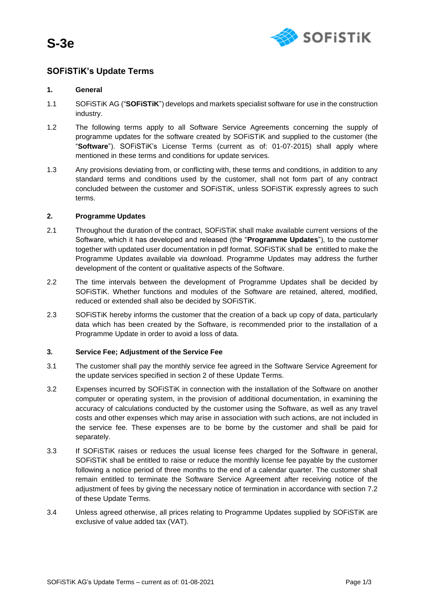**S-3e**



# **SOFiSTiK's Update Terms**

# **1. General**

- 1.1 SOFiSTiK AG ("**SOFiSTiK**") develops and markets specialist software for use in the construction industry.
- 1.2 The following terms apply to all Software Service Agreements concerning the supply of programme updates for the software created by SOFiSTiK and supplied to the customer (the "**Software**"). SOFiSTiK's License Terms (current as of: 01-07-2015) shall apply where mentioned in these terms and conditions for update services.
- 1.3 Any provisions deviating from, or conflicting with, these terms and conditions, in addition to any standard terms and conditions used by the customer, shall not form part of any contract concluded between the customer and SOFiSTiK, unless SOFiSTiK expressly agrees to such terms.

### **2. Programme Updates**

- 2.1 Throughout the duration of the contract, SOFiSTiK shall make available current versions of the Software, which it has developed and released (the "**Programme Updates**"), to the customer together with updated user documentation in pdf format. SOFiSTiK shall be entitled to make the Programme Updates available via download. Programme Updates may address the further development of the content or qualitative aspects of the Software.
- 2.2 The time intervals between the development of Programme Updates shall be decided by SOFiSTiK. Whether functions and modules of the Software are retained, altered, modified, reduced or extended shall also be decided by SOFiSTiK.
- 2.3 SOFiSTiK hereby informs the customer that the creation of a back up copy of data, particularly data which has been created by the Software, is recommended prior to the installation of a Programme Update in order to avoid a loss of data.

### **3. Service Fee; Adjustment of the Service Fee**

- 3.1 The customer shall pay the monthly service fee agreed in the Software Service Agreement for the update services specified in section 2 of these Update Terms.
- 3.2 Expenses incurred by SOFiSTiK in connection with the installation of the Software on another computer or operating system, in the provision of additional documentation, in examining the accuracy of calculations conducted by the customer using the Software, as well as any travel costs and other expenses which may arise in association with such actions, are not included in the service fee. These expenses are to be borne by the customer and shall be paid for separately.
- 3.3 If SOFiSTiK raises or reduces the usual license fees charged for the Software in general, SOFiSTiK shall be entitled to raise or reduce the monthly license fee payable by the customer following a notice period of three months to the end of a calendar quarter. The customer shall remain entitled to terminate the Software Service Agreement after receiving notice of the adjustment of fees by giving the necessary notice of termination in accordance with section 7.2 of these Update Terms.
- 3.4 Unless agreed otherwise, all prices relating to Programme Updates supplied by SOFiSTiK are exclusive of value added tax (VAT).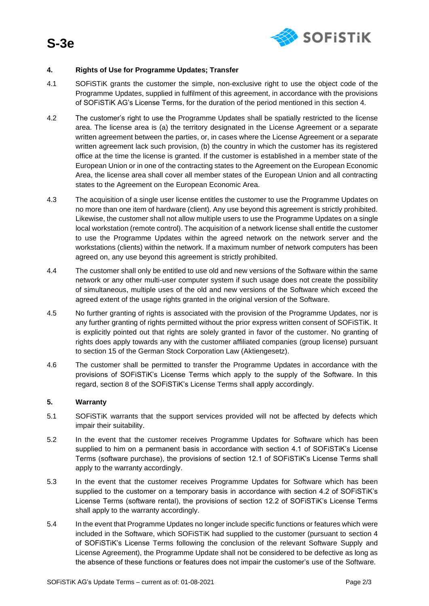

# **4. Rights of Use for Programme Updates; Transfer**

- 4.1 SOFiSTiK grants the customer the simple, non-exclusive right to use the object code of the Programme Updates, supplied in fulfilment of this agreement, in accordance with the provisions of SOFiSTiK AG's License Terms, for the duration of the period mentioned in this section 4.
- 4.2 The customer's right to use the Programme Updates shall be spatially restricted to the license area. The license area is (a) the territory designated in the License Agreement or a separate written agreement between the parties, or, in cases where the License Agreement or a separate written agreement lack such provision, (b) the country in which the customer has its registered office at the time the license is granted. If the customer is established in a member state of the European Union or in one of the contracting states to the Agreement on the European Economic Area, the license area shall cover all member states of the European Union and all contracting states to the Agreement on the European Economic Area.
- 4.3 The acquisition of a single user license entitles the customer to use the Programme Updates on no more than one item of hardware (client). Any use beyond this agreement is strictly prohibited. Likewise, the customer shall not allow multiple users to use the Programme Updates on a single local workstation (remote control). The acquisition of a network license shall entitle the customer to use the Programme Updates within the agreed network on the network server and the workstations (clients) within the network. If a maximum number of network computers has been agreed on, any use beyond this agreement is strictly prohibited.
- 4.4 The customer shall only be entitled to use old and new versions of the Software within the same network or any other multi-user computer system if such usage does not create the possibility of simultaneous, multiple uses of the old and new versions of the Software which exceed the agreed extent of the usage rights granted in the original version of the Software.
- 4.5 No further granting of rights is associated with the provision of the Programme Updates, nor is any further granting of rights permitted without the prior express written consent of SOFiSTiK. It is explicitly pointed out that rights are solely granted in favor of the customer. No granting of rights does apply towards any with the customer affiliated companies (group license) pursuant to section 15 of the German Stock Corporation Law (Aktiengesetz).
- 4.6 The customer shall be permitted to transfer the Programme Updates in accordance with the provisions of SOFiSTiK's License Terms which apply to the supply of the Software. In this regard, section 8 of the SOFiSTiK's License Terms shall apply accordingly.

### **5. Warranty**

- 5.1 SOFiSTiK warrants that the support services provided will not be affected by defects which impair their suitability.
- 5.2 In the event that the customer receives Programme Updates for Software which has been supplied to him on a permanent basis in accordance with section 4.1 of SOFiSTiK's License Terms (software purchase), the provisions of section 12.1 of SOFiSTiK's License Terms shall apply to the warranty accordingly.
- 5.3 In the event that the customer receives Programme Updates for Software which has been supplied to the customer on a temporary basis in accordance with section 4.2 of SOFiSTiK's License Terms (software rental), the provisions of section 12.2 of SOFiSTiK's License Terms shall apply to the warranty accordingly.
- 5.4 In the event that Programme Updates no longer include specific functions or features which were included in the Software, which SOFiSTiK had supplied to the customer (pursuant to section 4 of SOFiSTiK's License Terms following the conclusion of the relevant Software Supply and License Agreement), the Programme Update shall not be considered to be defective as long as the absence of these functions or features does not impair the customer's use of the Software.